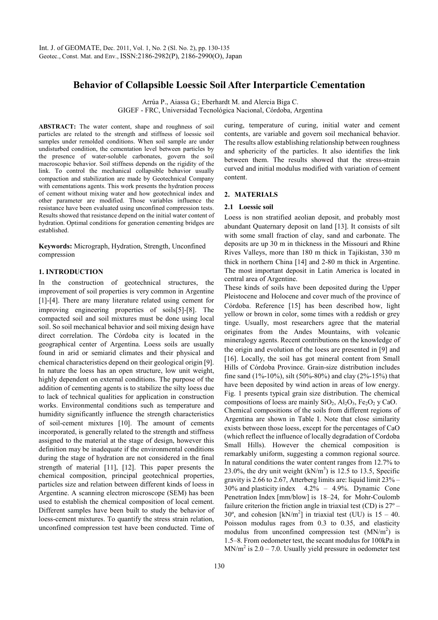# **Behavior of Collapsible Loessic Soil After Interparticle Cementation**

Arrúa P., Aiassa G.; Eberhardt M. and Alercia Biga C. GIGEF - FRC, Universidad Tecnológica Nacional, Córdoba, Argentina

**ABSTRACT:** The water content, shape and roughness of soil particles are related to the strength and stiffness of loessic soil samples under remolded conditions. When soil sample are under undisturbed condition, the cementation level between particles by the presence of water-soluble carbonates, govern the soil macroscopic behavior. Soil stiffness depends on the rigidity of the link. To control the mechanical collapsible behavior usually compaction and stabilization are made by Geotechnical Company with cementations agents. This work presents the hydration process of cement without mixing water and how geotechnical index and other parameter are modified. Those variables influence the resistance have been evaluated using unconfined compression tests. Results showed that resistance depend on the initial water content of hydration. Optimal conditions for generation cementing bridges are established.

**Keywords:** Micrograph, Hydration, Strength, Unconfined compression

## **1. INTRODUCTION**

In the construction of geotechnical structures, the improvement of soil properties is very common in Argentine [1]-[4]. There are many literature related using cement for improving engineering properties of soils[5]-[8]. The compacted soil and soil mixtures must be done using local soil. So soil mechanical behavior and soil mixing design have direct correlation. The Córdoba city is located in the geographical center of Argentina. Loess soils are usually found in arid or semiarid climates and their physical and chemical characteristics depend on their geological origin [9]. In nature the loess has an open structure, low unit weight, highly dependent on external conditions. The purpose of the addition of cementing agents is to stabilize the silty loess due to lack of technical qualities for application in construction works. Environmental conditions such as temperature and humidity significantly influence the strength characteristics of soil-cement mixtures [10]. The amount of cements incorporated, is generally related to the strength and stiffness assigned to the material at the stage of design, however this definition may be inadequate if the environmental conditions during the stage of hydration are not considered in the final strength of material [11], [12]. This paper presents the chemical composition, principal geotechnical properties, particles size and relation between different kinds of loess in Argentine. A scanning electron microscope (SEM) has been used to establish the chemical composition of local cement. Different samples have been built to study the behavior of loess-cement mixtures. To quantify the stress strain relation, unconfined compression test have been conducted. Time of

curing, temperature of curing, initial water and cement contents, are variable and govern soil mechanical behavior. The results allow establishing relationship between roughness and sphericity of the particles. It also identifies the link between them. The results showed that the stress-strain curved and initial modulus modified with variation of cement content.

# **2. MATERIALS**

### **2.1 Loessic soil**

Loess is non stratified aeolian deposit, and probably most abundant Quaternary deposit on land [13]. It consists of silt with some small fraction of clay, sand and carbonate. The deposits are up 30 m in thickness in the Missouri and Rhine Rives Valleys, more than 180 m thick in Tajikistan, 330 m thick in northern China [14] and 2-80 m thick in Argentine. The most important deposit in Latin America is located in central area of Argentine.

These kinds of soils have been deposited during the Upper Pleistocene and Holocene and cover much of the province of Córdoba. Reference [15] has been described how, light yellow or brown in color, some times with a reddish or grey tinge. Usually, most researchers agree that the material originates from the Andes Mountains, with volcanic mineralogy agents. Recent contributions on the knowledge of the origin and evolution of the loess are presented in [9] and [16]. Locally, the soil has got mineral content from Small Hills of Córdoba Province. Grain-size distribution includes fine sand  $(1\% - 10\%)$ , silt  $(50\% - 80\%)$  and clay  $(2\% - 15\%)$  that have been deposited by wind action in areas of low energy. Fig. 1 presents typical grain size distribution. The chemical compositions of loess are mainly  $SiO_2$ ,  $Al_2O_3$ ,  $Fe_2O_2$  y CaO. Chemical compositions of the soils from different regions of Argentina are shown in Table I. Note that close similarity exists between those loess, except for the percentages of CaO (which reflect the influence of locally degradation of Cordoba Small Hills). However the chemical composition is remarkably uniform, suggesting a common regional source. In natural conditions the water content ranges from 12.7% to 23.0%, the dry unit weight  $(kN/m<sup>3</sup>)$  is 12.5 to 13.5, Specific gravity is 2.66 to 2.67, Atterberg limits are: liquid limit 23% – 30% and plasticity index 4.2% – 4.9%. Dynamic Cone Penetration Index [mm/blow] is 18–24, for Mohr-Coulomb failure criterion the friction angle in triaxial test  $(CD)$  is  $27^{\circ}$  – 30°, and cohesion  $[kN/m^2]$  in triaxial test (UU) is 15 – 40. Poisson modulus rages from 0.3 to 0.35, and elasticity modulus from unconfined compression test  $(MN/m<sup>2</sup>)$  is 1.5–8. From oedometer test, the secant modulus for 100kPa in  $MN/m<sup>2</sup>$  is 2.0 – 7.0. Usually yield pressure in oedometer test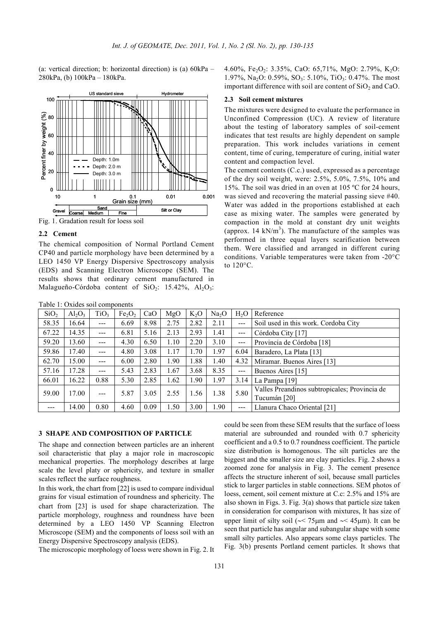(a: vertical direction; b: horizontal direction) is (a) 60kPa – 280kPa, (b) 100kPa – 180kPa.



Fig. 1. Gradation result for loess soil

# **2.2 Cement**

The chemical composition of Normal Portland Cement CP40 and particle morphology have been determined by a LEO 1450 VP Energy Dispersive Spectroscopy analysis (EDS) and Scanning Electron Microscope (SEM). The results shows that ordinary cement manufactured in Malagueño-Córdoba content of SiO<sub>2</sub>: 15.42%, Al<sub>2</sub>O<sub>3</sub>: 4.60%, Fe<sub>2</sub>O<sub>2</sub>: 3.35%, CaO: 65,71%, MgO: 2.79%, K<sub>2</sub>O: 1.97%, Na<sub>2</sub>O: 0.59%, SO<sub>3</sub>: 5.10%, TiO<sub>3</sub>: 0.47%. The most important difference with soil are content of  $SiO<sub>2</sub>$  and CaO.

### **2.3 Soil cement mixtures**

The mixtures were designed to evaluate the performance in Unconfined Compression (UC). A review of literature about the testing of laboratory samples of soil-cement indicates that test results are highly dependent on sample preparation. This work includes variations in cement content, time of curing, temperature of curing, initial water content and compaction level.

The cement contents (C.c.) used, expressed as a percentage of the dry soil weight, were: 2.5%, 5.0%, 7.5%, 10% and 15%. The soil was dried in an oven at 105 ºC for 24 hours, was sieved and recovering the material passing sieve #40. Water was added in the proportions established at each case as mixing water. The samples were generated by compaction in the mold at constant dry unit weights (approx. 14 kN/ $m<sup>3</sup>$ ). The manufacture of the samples was performed in three equal layers scarification between them. Were classified and arranged in different curing conditions. Variable temperatures were taken from -20°C to 120°C.

| Table 1: Oxides soil components |           |                  |                                |      |      |        |                   |                  |                                               |
|---------------------------------|-----------|------------------|--------------------------------|------|------|--------|-------------------|------------------|-----------------------------------------------|
| SiO <sub>2</sub>                | $Al_2O_3$ | TiO <sub>3</sub> | Fe <sub>2</sub> O <sub>2</sub> | CaO  | MgO  | $K_2O$ | Na <sub>2</sub> O | H <sub>2</sub> O | Reference                                     |
| 58.35                           | 16.64     | $---$            | 6.69                           | 8.98 | 2.75 | 2.82   | 2.11              | $---$            | Soil used in this work. Cordoba City          |
| 67.22                           | 14.35     | $---$            | 6.81                           | 5.16 | 2.13 | 2.93   | 1.41              | $---$            | Córdoba City [17]                             |
| 59.20                           | 13.60     | $- - -$          | 4.30                           | 6.50 | 1.10 | 2.20   | 3.10              | $---$            | Provincia de Córdoba [18]                     |
| 59.86                           | 17.40     | ---              | 4.80                           | 3.08 | 1.17 | 1.70   | 1.97              | 6.04             | Baradero, La Plata [13]                       |
| 62.70                           | 15.00     | ---              | 6.00                           | 2.80 | 1.90 | 1.88   | 1.40              | 4.32             | Miramar. Buenos Aires [13]                    |
| 57.16                           | 17.28     | ---              | 5.43                           | 2.83 | 1.67 | 3.68   | 8.35              | $---$            | Buenos Aires [15]                             |
| 66.01                           | 16.22     | 0.88             | 5.30                           | 2.85 | 1.62 | 1.90   | 1.97              | 3.14             | La Pampa <sup>[19]</sup>                      |
| 59.00                           | 17.00     | ---              | 5.87                           | 3.05 | 2.55 | 1.56   | 1.38              | 5.80             | Valles Preandinos subtropicales; Provincia de |
|                                 |           |                  |                                |      |      |        |                   |                  | Tucumán [20]                                  |
| ---                             | 14.00     | 0.80             | 4.60                           | 0.09 | 1.50 | 3.00   | .90               | $---$            | Llanura Chaco Oriental [21]                   |

#### **3 SHAPE AND COMPOSITION OF PARTICLE**

The shape and connection between particles are an inherent soil characteristic that play a major role in macroscopic mechanical properties. The morphology describes at large scale the level platy or sphericity, and texture in smaller scales reflect the surface roughness.

In this work, the chart from [22] is used to compare individual grains for visual estimation of roundness and sphericity. The chart from [23] is used for shape characterization. The particle morphology, roughness and roundness have been determined by a LEO 1450 VP Scanning Electron Microscope (SEM) and the components of loess soil with an Energy Dispersive Spectroscopy analysis (EDS).

The microscopic morphology of loess were shown in Fig. 2. It

could be seen from these SEM results that the surface of loess material are subrounded and rounded with 0.7 sphericity coefficient and a 0.5 to 0.7 roundness coefficient. The particle size distribution is homogenous. The silt particles are the biggest and the smaller size are clay particles. Fig. 2 shows a zoomed zone for analysis in Fig. 3. The cement presence affects the structure inherent of soil, because small particles stick to larger particles in stable connections. SEM photos of loess, cement, soil cement mixture at C.c: 2.5% and 15% are also shown in Figs. 3. Fig. 3(a) shows that particle size taken in consideration for comparison with mixtures, It has size of upper limit of silty soil (∼< 75µm and ∼< 45µm). It can be seen that particle has angular and subangular shape with some small silty particles. Also appears some clays particles. The Fig. 3(b) presents Portland cement particles. It shows that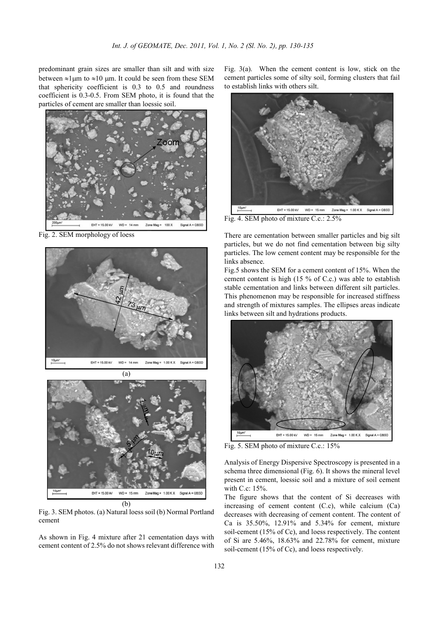predominant grain sizes are smaller than silt and with size between  $\approx$ 1 $\mu$ m to  $\approx$ 10  $\mu$ m. It could be seen from these SEM that sphericity coefficient is 0.3 to 0.5 and roundness coefficient is 0.3-0.5. From SEM photo, it is found that the particles of cement are smaller than loessic soil.



Fig. 2. SEM morphology of loess



(a)



Fig. 3. SEM photos. (a) Natural loess soil (b) Normal Portland cement

As shown in Fig. 4 mixture after 21 cementation days with cement content of 2.5% do not shows relevant difference with

Fig. 3(a). When the cement content is low, stick on the cement particles some of silty soil, forming clusters that fail to establish links with others silt.



Fig. 4. SEM photo of mixture C.c.: 2.5%

There are cementation between smaller particles and big silt particles, but we do not find cementation between big silty particles. The low cement content may be responsible for the links absence.

Fig.5 shows the SEM for a cement content of 15%. When the cement content is high (15 % of C.c.) was able to establish stable cementation and links between different silt particles. This phenomenon may be responsible for increased stiffness and strength of mixtures samples. The ellipses areas indicate links between silt and hydrations products.



Fig. 5. SEM photo of mixture C.c.: 15%

Analysis of Energy Dispersive Spectroscopy is presented in a schema three dimensional (Fig. 6). It shows the mineral level present in cement, loessic soil and a mixture of soil cement with C.c: 15%.

The figure shows that the content of Si decreases with increasing of cement content (C.c), while calcium (Ca) decreases with decreasing of cement content. The content of Ca is 35.50%, 12.91% and 5.34% for cement, mixture soil-cement (15% of Cc), and loess respectively. The content of Si are 5.46%, 18.63% and 22.78% for cement, mixture soil-cement (15% of Cc), and loess respectively.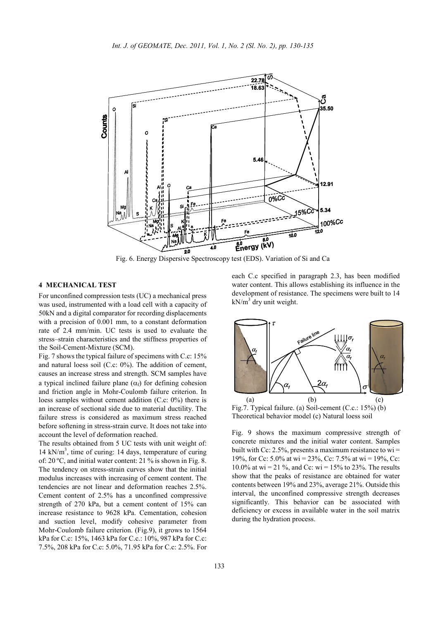

Fig. 6. Energy Dispersive Spectroscopy test (EDS). Variation of Si and Ca

# **4 MECHANICAL TEST**

For unconfined compression tests (UC) a mechanical press was used, instrumented with a load cell with a capacity of 50kN and a digital comparator for recording displacements with a precision of 0.001 mm, to a constant deformation rate of 2.4 mm/min. UC tests is used to evaluate the stress–strain characteristics and the stiffness properties of the Soil-Cement-Mixture (SCM).

Fig. 7 shows the typical failure of specimens with C.c: 15% and natural loess soil (C.c: 0%). The addition of cement, causes an increase stress and strength. SCM samples have a typical inclined failure plane  $(\alpha_f)$  for defining cohesion and friction angle in Mohr-Coulomb failure criterion. In loess samples without cement addition (C.c: 0%) there is an increase of sectional side due to material ductility. The failure stress is considered as maximum stress reached before softening in stress-strain curve. It does not take into account the level of deformation reached.

The results obtained from 5 UC tests with unit weight of: 14 kN/m<sup>3</sup>, time of curing: 14 days, temperature of curing of: 20 ºC, and initial water content: 21 % is shown in Fig. 8. The tendency on stress-strain curves show that the initial modulus increases with increasing of cement content. The tendencies are not linear and deformation reaches 2.5%. Cement content of 2.5% has a unconfined compressive strength of 270 kPa, but a cement content of 15% can increase resistance to 9628 kPa. Cementation, cohesion and suction level, modify cohesive parameter from Mohr-Coulomb failure criterion. (Fig.9), it grows to 1564 kPa for C.c: 15%, 1463 kPa for C.c.: 10%, 987 kPa for C.c: 7.5%, 208 kPa for C.c: 5.0%, 71.95 kPa for C.c: 2.5%. For

each C.c specified in paragraph 2.3, has been modified water content. This allows establishing its influence in the development of resistance. The specimens were built to 14  $kN/m<sup>3</sup>$  dry unit weight.



Fig.7. Typical failure. (a) Soil-cement (C.c.: 15%) (b) Theoretical behavior model (c) Natural loess soil

Fig. 9 shows the maximum compressive strength of concrete mixtures and the initial water content. Samples built with Cc: 2.5%, presents a maximum resistance to  $wi =$ 19%, for Cc: 5.0% at wi = 23%, Cc: 7.5% at wi = 19%, Cc: 10.0% at wi = 21 %, and Cc: wi =  $15\%$  to 23%. The results show that the peaks of resistance are obtained for water contents between 19% and 23%, average 21%. Outside this interval, the unconfined compressive strength decreases significantly. This behavior can be associated with deficiency or excess in available water in the soil matrix during the hydration process.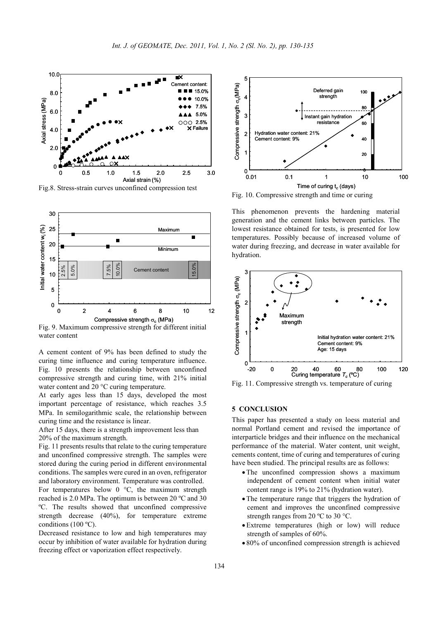

Fig.8. Stress-strain curves unconfined compression test



Fig. 9. Maximum compressive strength for different initial water content

A cement content of 9% has been defined to study the curing time influence and curing temperature influence. Fig. 10 presents the relationship between unconfined compressive strength and curing time, with 21% initial water content and 20 °C curing temperature.

At early ages less than 15 days, developed the most important percentage of resistance, which reaches 3.5 MPa. In semilogarithmic scale, the relationship between curing time and the resistance is linear.

After 15 days, there is a strength improvement less than 20% of the maximum strength.

Fig. 11 presents results that relate to the curing temperature and unconfined compressive strength. The samples were stored during the curing period in different environmental conditions. The samples were cured in an oven, refrigerator and laboratory environment. Temperature was controlled.

For temperatures below  $0^{\circ}$ C, the maximum strength reached is 2.0 MPa. The optimum is between 20 ºC and 30 ºC. The results showed that unconfined compressive strength decrease (40%), for temperature extreme conditions (100 ºC).

Decreased resistance to low and high temperatures may occur by inhibition of water available for hydration during freezing effect or vaporization effect respectively.



Fig. 10. Compressive strength and time or curing

This phenomenon prevents the hardening material generation and the cement links between particles. The lowest resistance obtained for tests, is presented for low temperatures. Possibly because of increased volume of water during freezing, and decrease in water available for hydration.



Fig. 11. Compressive strength vs. temperature of curing

### **5 CONCLUSION**

This paper has presented a study on loess material and normal Portland cement and revised the importance of interparticle bridges and their influence on the mechanical performance of the material. Water content, unit weight, cements content, time of curing and temperatures of curing have been studied. The principal results are as follows:

- •The unconfined compression shows a maximum independent of cement content when initial water content range is 19% to 21% (hydration water).
- The temperature range that triggers the hydration of cement and improves the unconfined compressive strength ranges from 20 °C to 30 °C.
- •Extreme temperatures (high or low) will reduce strength of samples of 60%.
- 80% of unconfined compression strength is achieved